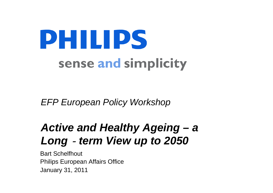# **PHILIPS** sense and simplicity

*EFP European Policy Workshop*

# Active and Healthy Ageing – a *Long*‐*term View up to 2050*

Bart Schelfhout Philips European Affairs Office January 31, 2011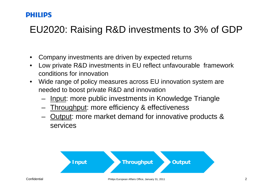## EU2020: Raising R&D investments to 3% of GDP

- •Company investments are driven by expected returns
- • Low private R&D investments in EU reflect unfavourable framework conditions for innovation
- • Wide range of policy measures across EU innovation system are needed to boost private R&D and innovation
	- –Input: more public investments in Knowledge Triangle
	- –Throughput: more efficiency & effectiveness
	- – Output: more market demand for innovative products & services

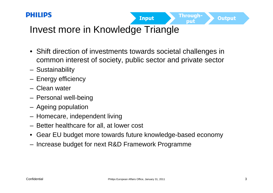

Through-

put

Invest more in Knowledge Triangle

- Shift direction of investments towards societal challenges in common interest of society, public sector and private sector
- –Sustainability
- –Energy efficiency
- Clean water
- –Personal well-being
- –Ageing population
- –Homecare, independent living
- Better healthcare for all, at lower cost
- Gear EU budget more towards future knowledge-based economy
- –Increase budget for next R&D Framework Programme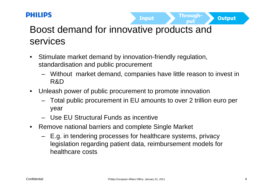

Throuah-

# Boost demand for innovative products and services

- • Stimulate market demand by innovation-friendly regulation, standardisation and public procurement
	- Without market demand, companies have little reason to invest in R&D
- • Unleash power of public procurement to promote innovation
	- Total public procurement in EU amounts to over 2 trillion euro per year
	- Use EU Structural Funds as incentive
- • Remove national barriers and complete Single Market
	- E.g. in tendering processes for healthcare systems, privacy legislation regarding patient data, reimbursement models for healthcare costs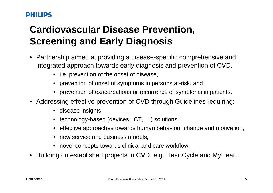# **Cardiovascular Disease Prevention, Screening and Early Diagnosis**

- • Partnership aimed at providing a disease-specific comprehensive and integrated approach towards early diagnosis and prevention of CVD.
	- i.e. prevention of the onset of disease,
	- prevention of onset of symptoms in persons at-risk, and
	- prevention of exacerbations or recurrence of symptoms in patients.
- Addressing effective prevention of CVD through Guidelines requiring:
	- disease insights,
	- technology-based (devices, ICT, …) solutions,
	- effective approaches towards human behaviour change and motivation,
	- new service and business models,
	- novel concepts towards clinical and care workflow.
- •Building on established projects in CVD, e.g. HeartCycle and MyHeart.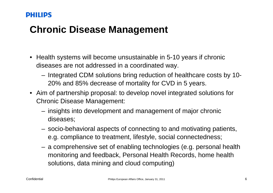## **Chronic Disease Management**

- • Health systems will become unsustainable in 5-10 years if chronic diseases are not addressed in a coordinated way.
	- Integrated CDM solutions bring reduction of healthcare costs by 10- 20% and 85% decrease of mortality for CVD in 5 years.
- Aim of partnership proposal: to develop novel integrated solutions for Chronic Disease Management:
	- insights into development and management of major chronic diseases;
	- socio-behavioral aspects of connecting to and motivating patients, e.g. compliance to treatment, lifestyle, social connectedness;
	- a comprehensive set of enabling technologies (e.g. personal health monitoring and feedback, Personal Health Records, home health solutions, data mining and cloud computing)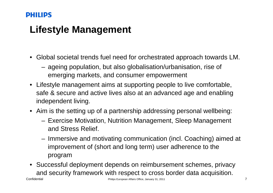## **Lifestyle Management**

- Global societal trends fuel need for orchestrated approach towards LM.
	- ageing population, but also globalisation/urbanisation, rise of emerging markets, and consumer empowerment
- Lifestyle management aims at supporting people to live comfortable, safe & secure and active lives also at an advanced age and enabling independent living.
- Aim is the setting up of a partnership addressing personal wellbeing:
	- Exercise Motivation, Nutrition Management, Sleep Management and Stress Relief.
	- Immersive and motivating communication (incl. Coaching) aimed at improvement of (short and long term) user adherence to the program
- Successful deployment depends on reimbursement schemes, privacy and security framework with respect to cross border data acquisition.